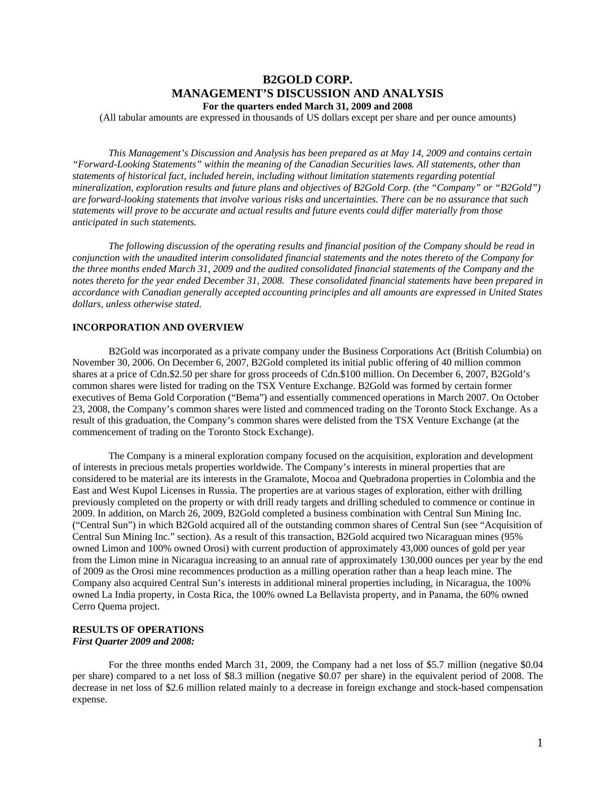# **B2GOLD CORP. MANAGEMENT'S DISCUSSION AND ANALYSIS For the quarters ended March 31, 2009 and 2008**

(All tabular amounts are expressed in thousands of US dollars except per share and per ounce amounts)

*This Management's Discussion and Analysis has been prepared as at May 14, 2009 and contains certain "Forward-Looking Statements" within the meaning of the Canadian Securities laws. All statements, other than statements of historical fact, included herein, including without limitation statements regarding potential mineralization, exploration results and future plans and objectives of B2Gold Corp. (the "Company" or "B2Gold") are forward-looking statements that involve various risks and uncertainties. There can be no assurance that such statements will prove to be accurate and actual results and future events could differ materially from those anticipated in such statements.* 

*The following discussion of the operating results and financial position of the Company should be read in conjunction with the unaudited interim consolidated financial statements and the notes thereto of the Company for the three months ended March 31, 2009 and the audited consolidated financial statements of the Company and the notes thereto for the year ended December 31, 2008. These consolidated financial statements have been prepared in accordance with Canadian generally accepted accounting principles and all amounts are expressed in United States dollars, unless otherwise stated.* 

## **INCORPORATION AND OVERVIEW**

B2Gold was incorporated as a private company under the Business Corporations Act (British Columbia) on November 30, 2006. On December 6, 2007, B2Gold completed its initial public offering of 40 million common shares at a price of Cdn.\$2.50 per share for gross proceeds of Cdn.\$100 million. On December 6, 2007, B2Gold's common shares were listed for trading on the TSX Venture Exchange. B2Gold was formed by certain former executives of Bema Gold Corporation ("Bema") and essentially commenced operations in March 2007. On October 23, 2008, the Company's common shares were listed and commenced trading on the Toronto Stock Exchange. As a result of this graduation, the Company's common shares were delisted from the TSX Venture Exchange (at the commencement of trading on the Toronto Stock Exchange).

The Company is a mineral exploration company focused on the acquisition, exploration and development of interests in precious metals properties worldwide. The Company's interests in mineral properties that are considered to be material are its interests in the Gramalote, Mocoa and Quebradona properties in Colombia and the East and West Kupol Licenses in Russia. The properties are at various stages of exploration, either with drilling previously completed on the property or with drill ready targets and drilling scheduled to commence or continue in 2009. In addition, on March 26, 2009, B2Gold completed a business combination with Central Sun Mining Inc. ("Central Sun") in which B2Gold acquired all of the outstanding common shares of Central Sun (see "Acquisition of Central Sun Mining Inc." section). As a result of this transaction, B2Gold acquired two Nicaraguan mines (95% owned Limon and 100% owned Orosi) with current production of approximately 43,000 ounces of gold per year from the Limon mine in Nicaragua increasing to an annual rate of approximately 130,000 ounces per year by the end of 2009 as the Orosi mine recommences production as a milling operation rather than a heap leach mine. The Company also acquired Central Sun's interests in additional mineral properties including, in Nicaragua, the 100% owned La India property, in Costa Rica, the 100% owned La Bellavista property, and in Panama, the 60% owned Cerro Quema project.

## **RESULTS OF OPERATIONS**  *First Quarter 2009 and 2008:*

For the three months ended March 31, 2009, the Company had a net loss of \$5.7 million (negative \$0.04 per share) compared to a net loss of \$8.3 million (negative \$0.07 per share) in the equivalent period of 2008. The decrease in net loss of \$2.6 million related mainly to a decrease in foreign exchange and stock-based compensation expense.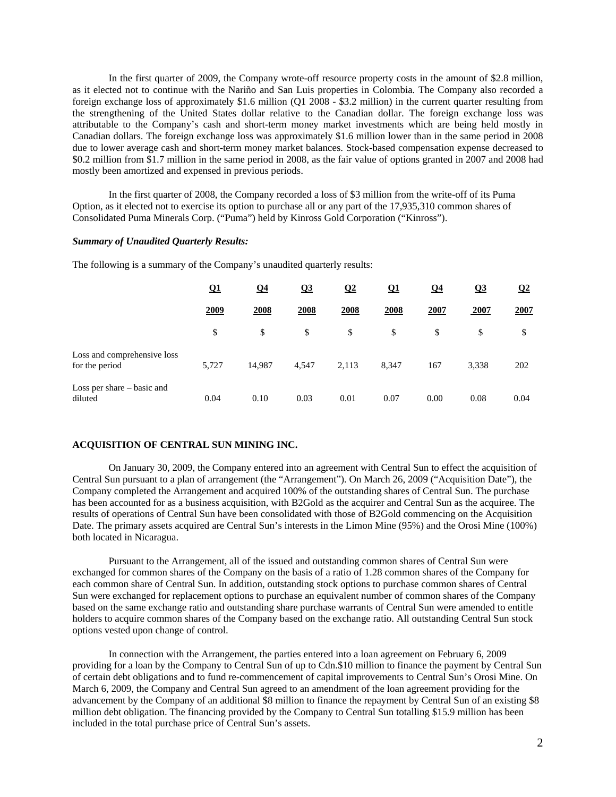In the first quarter of 2009, the Company wrote-off resource property costs in the amount of \$2.8 million, as it elected not to continue with the Nariño and San Luis properties in Colombia. The Company also recorded a foreign exchange loss of approximately \$1.6 million (Q1 2008 - \$3.2 million) in the current quarter resulting from the strengthening of the United States dollar relative to the Canadian dollar. The foreign exchange loss was attributable to the Company's cash and short-term money market investments which are being held mostly in Canadian dollars. The foreign exchange loss was approximately \$1.6 million lower than in the same period in 2008 due to lower average cash and short-term money market balances. Stock-based compensation expense decreased to \$0.2 million from \$1.7 million in the same period in 2008, as the fair value of options granted in 2007 and 2008 had mostly been amortized and expensed in previous periods.

In the first quarter of 2008, the Company recorded a loss of \$3 million from the write-off of its Puma Option, as it elected not to exercise its option to purchase all or any part of the 17,935,310 common shares of Consolidated Puma Minerals Corp. ("Puma") held by Kinross Gold Corporation ("Kinross").

#### *Summary of Unaudited Quarterly Results:*

The following is a summary of the Company's unaudited quarterly results:

|                                               | <u>01</u> | $\Omega$ 4 | Q <sub>3</sub> | $\overline{02}$ | <u>Q1</u> | <u>04</u>   | Q <sub>3</sub> | $\Omega$ |
|-----------------------------------------------|-----------|------------|----------------|-----------------|-----------|-------------|----------------|----------|
|                                               | 2009      | 2008       | 2008           | <u>2008</u>     | 2008      | <b>2007</b> | 2007           | 2007     |
|                                               | \$        | \$         | \$             | \$              | \$        | \$          | \$             | \$       |
| Loss and comprehensive loss<br>for the period | 5,727     | 14,987     | 4,547          | 2,113           | 8,347     | 167         | 3,338          | 202      |
| Loss per share – basic and<br>diluted         | 0.04      | 0.10       | 0.03           | 0.01            | 0.07      | 0.00        | 0.08           | 0.04     |

## **ACQUISITION OF CENTRAL SUN MINING INC.**

On January 30, 2009, the Company entered into an agreement with Central Sun to effect the acquisition of Central Sun pursuant to a plan of arrangement (the "Arrangement"). On March 26, 2009 ("Acquisition Date"), the Company completed the Arrangement and acquired 100% of the outstanding shares of Central Sun. The purchase has been accounted for as a business acquisition, with B2Gold as the acquirer and Central Sun as the acquiree. The results of operations of Central Sun have been consolidated with those of B2Gold commencing on the Acquisition Date. The primary assets acquired are Central Sun's interests in the Limon Mine (95%) and the Orosi Mine (100%) both located in Nicaragua.

Pursuant to the Arrangement, all of the issued and outstanding common shares of Central Sun were exchanged for common shares of the Company on the basis of a ratio of 1.28 common shares of the Company for each common share of Central Sun. In addition, outstanding stock options to purchase common shares of Central Sun were exchanged for replacement options to purchase an equivalent number of common shares of the Company based on the same exchange ratio and outstanding share purchase warrants of Central Sun were amended to entitle holders to acquire common shares of the Company based on the exchange ratio. All outstanding Central Sun stock options vested upon change of control.

In connection with the Arrangement, the parties entered into a loan agreement on February 6, 2009 providing for a loan by the Company to Central Sun of up to Cdn.\$10 million to finance the payment by Central Sun of certain debt obligations and to fund re-commencement of capital improvements to Central Sun's Orosi Mine. On March 6, 2009, the Company and Central Sun agreed to an amendment of the loan agreement providing for the advancement by the Company of an additional \$8 million to finance the repayment by Central Sun of an existing \$8 million debt obligation. The financing provided by the Company to Central Sun totalling \$15.9 million has been included in the total purchase price of Central Sun's assets.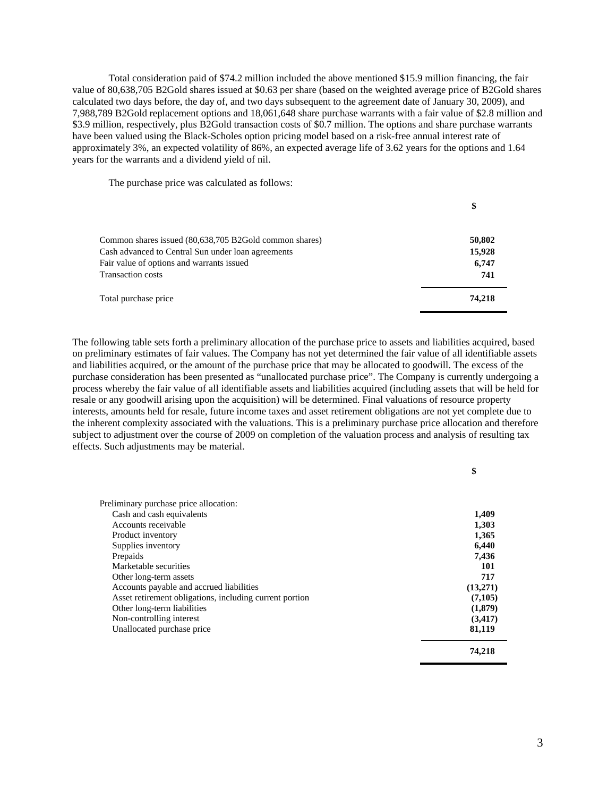Total consideration paid of \$74.2 million included the above mentioned \$15.9 million financing, the fair value of 80,638,705 B2Gold shares issued at \$0.63 per share (based on the weighted average price of B2Gold shares calculated two days before, the day of, and two days subsequent to the agreement date of January 30, 2009), and 7,988,789 B2Gold replacement options and 18,061,648 share purchase warrants with a fair value of \$2.8 million and \$3.9 million, respectively, plus B2Gold transaction costs of \$0.7 million. The options and share purchase warrants have been valued using the Black-Scholes option pricing model based on a risk-free annual interest rate of approximately 3%, an expected volatility of 86%, an expected average life of 3.62 years for the options and 1.64 years for the warrants and a dividend yield of nil.

The purchase price was calculated as follows:

|                                                        | \$     |
|--------------------------------------------------------|--------|
| Common shares issued (80,638,705 B2Gold common shares) | 50,802 |
| Cash advanced to Central Sun under loan agreements     | 15,928 |
| Fair value of options and warrants issued              | 6,747  |
| <b>Transaction costs</b>                               | 741    |
| Total purchase price                                   | 74,218 |

The following table sets forth a preliminary allocation of the purchase price to assets and liabilities acquired, based on preliminary estimates of fair values. The Company has not yet determined the fair value of all identifiable assets and liabilities acquired, or the amount of the purchase price that may be allocated to goodwill. The excess of the purchase consideration has been presented as "unallocated purchase price". The Company is currently undergoing a process whereby the fair value of all identifiable assets and liabilities acquired (including assets that will be held for resale or any goodwill arising upon the acquisition) will be determined. Final valuations of resource property interests, amounts held for resale, future income taxes and asset retirement obligations are not yet complete due to the inherent complexity associated with the valuations. This is a preliminary purchase price allocation and therefore subject to adjustment over the course of 2009 on completion of the valuation process and analysis of resulting tax effects. Such adjustments may be material.

| Preliminary purchase price allocation:                  |          |
|---------------------------------------------------------|----------|
| Cash and cash equivalents                               | 1,409    |
| Accounts receivable                                     | 1,303    |
| Product inventory                                       | 1,365    |
| Supplies inventory                                      | 6,440    |
| Prepaids                                                | 7.436    |
| Marketable securities                                   | 101      |
| Other long-term assets                                  | 717      |
| Accounts payable and accrued liabilities                | (13,271) |
| Asset retirement obligations, including current portion | (7,105)  |
| Other long-term liabilities                             | (1,879)  |
| Non-controlling interest                                | (3,417)  |
| Unallocated purchase price                              | 81,119   |
|                                                         | 74.218   |

**\$**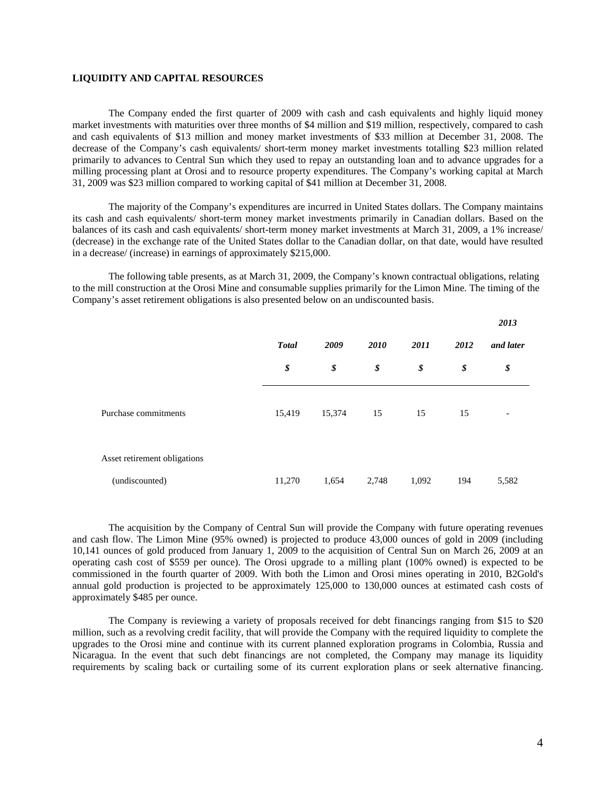## **LIQUIDITY AND CAPITAL RESOURCES**

The Company ended the first quarter of 2009 with cash and cash equivalents and highly liquid money market investments with maturities over three months of \$4 million and \$19 million, respectively, compared to cash and cash equivalents of \$13 million and money market investments of \$33 million at December 31, 2008. The decrease of the Company's cash equivalents/ short-term money market investments totalling \$23 million related primarily to advances to Central Sun which they used to repay an outstanding loan and to advance upgrades for a milling processing plant at Orosi and to resource property expenditures. The Company's working capital at March 31, 2009 was \$23 million compared to working capital of \$41 million at December 31, 2008.

The majority of the Company's expenditures are incurred in United States dollars. The Company maintains its cash and cash equivalents/ short-term money market investments primarily in Canadian dollars. Based on the balances of its cash and cash equivalents/ short-term money market investments at March 31, 2009, a 1% increase/ (decrease) in the exchange rate of the United States dollar to the Canadian dollar, on that date, would have resulted in a decrease/ (increase) in earnings of approximately \$215,000.

The following table presents, as at March 31, 2009, the Company's known contractual obligations, relating to the mill construction at the Orosi Mine and consumable supplies primarily for the Limon Mine. The timing of the Company's asset retirement obligations is also presented below on an undiscounted basis.

|                              |              |        |       |       |      | 2013                     |
|------------------------------|--------------|--------|-------|-------|------|--------------------------|
|                              | <b>Total</b> | 2009   | 2010  | 2011  | 2012 | and later                |
|                              | \$           | \$     | \$    | \$    | \$   | \$                       |
| Purchase commitments         | 15,419       | 15,374 | 15    | 15    | 15   | $\overline{\phantom{a}}$ |
| Asset retirement obligations |              |        |       |       |      |                          |
| (undiscounted)               | 11,270       | 1,654  | 2,748 | 1,092 | 194  | 5,582                    |

The acquisition by the Company of Central Sun will provide the Company with future operating revenues and cash flow. The Limon Mine (95% owned) is projected to produce 43,000 ounces of gold in 2009 (including 10,141 ounces of gold produced from January 1, 2009 to the acquisition of Central Sun on March 26, 2009 at an operating cash cost of \$559 per ounce). The Orosi upgrade to a milling plant (100% owned) is expected to be commissioned in the fourth quarter of 2009. With both the Limon and Orosi mines operating in 2010, B2Gold's annual gold production is projected to be approximately 125,000 to 130,000 ounces at estimated cash costs of approximately \$485 per ounce.

The Company is reviewing a variety of proposals received for debt financings ranging from \$15 to \$20 million, such as a revolving credit facility, that will provide the Company with the required liquidity to complete the upgrades to the Orosi mine and continue with its current planned exploration programs in Colombia, Russia and Nicaragua. In the event that such debt financings are not completed, the Company may manage its liquidity requirements by scaling back or curtailing some of its current exploration plans or seek alternative financing.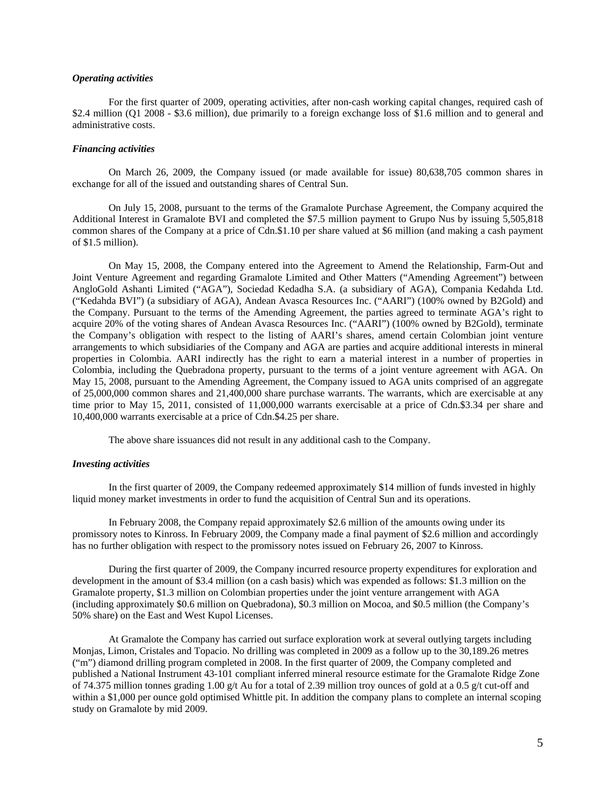### *Operating activities*

For the first quarter of 2009, operating activities, after non-cash working capital changes, required cash of \$2.4 million (Q1 2008 - \$3.6 million), due primarily to a foreign exchange loss of \$1.6 million and to general and administrative costs.

### *Financing activities*

On March 26, 2009, the Company issued (or made available for issue) 80,638,705 common shares in exchange for all of the issued and outstanding shares of Central Sun.

On July 15, 2008, pursuant to the terms of the Gramalote Purchase Agreement, the Company acquired the Additional Interest in Gramalote BVI and completed the \$7.5 million payment to Grupo Nus by issuing 5,505,818 common shares of the Company at a price of Cdn.\$1.10 per share valued at \$6 million (and making a cash payment of \$1.5 million).

On May 15, 2008, the Company entered into the Agreement to Amend the Relationship, Farm-Out and Joint Venture Agreement and regarding Gramalote Limited and Other Matters ("Amending Agreement") between AngloGold Ashanti Limited ("AGA"), Sociedad Kedadha S.A. (a subsidiary of AGA), Compania Kedahda Ltd. ("Kedahda BVI") (a subsidiary of AGA), Andean Avasca Resources Inc. ("AARI") (100% owned by B2Gold) and the Company. Pursuant to the terms of the Amending Agreement, the parties agreed to terminate AGA's right to acquire 20% of the voting shares of Andean Avasca Resources Inc. ("AARI") (100% owned by B2Gold), terminate the Company's obligation with respect to the listing of AARI's shares, amend certain Colombian joint venture arrangements to which subsidiaries of the Company and AGA are parties and acquire additional interests in mineral properties in Colombia. AARI indirectly has the right to earn a material interest in a number of properties in Colombia, including the Quebradona property, pursuant to the terms of a joint venture agreement with AGA. On May 15, 2008, pursuant to the Amending Agreement, the Company issued to AGA units comprised of an aggregate of 25,000,000 common shares and 21,400,000 share purchase warrants. The warrants, which are exercisable at any time prior to May 15, 2011, consisted of 11,000,000 warrants exercisable at a price of Cdn.\$3.34 per share and 10,400,000 warrants exercisable at a price of Cdn.\$4.25 per share.

The above share issuances did not result in any additional cash to the Company.

## *Investing activities*

In the first quarter of 2009, the Company redeemed approximately \$14 million of funds invested in highly liquid money market investments in order to fund the acquisition of Central Sun and its operations.

In February 2008, the Company repaid approximately \$2.6 million of the amounts owing under its promissory notes to Kinross. In February 2009, the Company made a final payment of \$2.6 million and accordingly has no further obligation with respect to the promissory notes issued on February 26, 2007 to Kinross.

During the first quarter of 2009, the Company incurred resource property expenditures for exploration and development in the amount of \$3.4 million (on a cash basis) which was expended as follows: \$1.3 million on the Gramalote property, \$1.3 million on Colombian properties under the joint venture arrangement with AGA (including approximately \$0.6 million on Quebradona), \$0.3 million on Mocoa, and \$0.5 million (the Company's 50% share) on the East and West Kupol Licenses.

At Gramalote the Company has carried out surface exploration work at several outlying targets including Monjas, Limon, Cristales and Topacio. No drilling was completed in 2009 as a follow up to the 30,189.26 metres ("m") diamond drilling program completed in 2008. In the first quarter of 2009, the Company completed and published a National Instrument 43-101 compliant inferred mineral resource estimate for the Gramalote Ridge Zone of 74.375 million tonnes grading 1.00 g/t Au for a total of 2.39 million troy ounces of gold at a 0.5 g/t cut-off and within a \$1,000 per ounce gold optimised Whittle pit. In addition the company plans to complete an internal scoping study on Gramalote by mid 2009.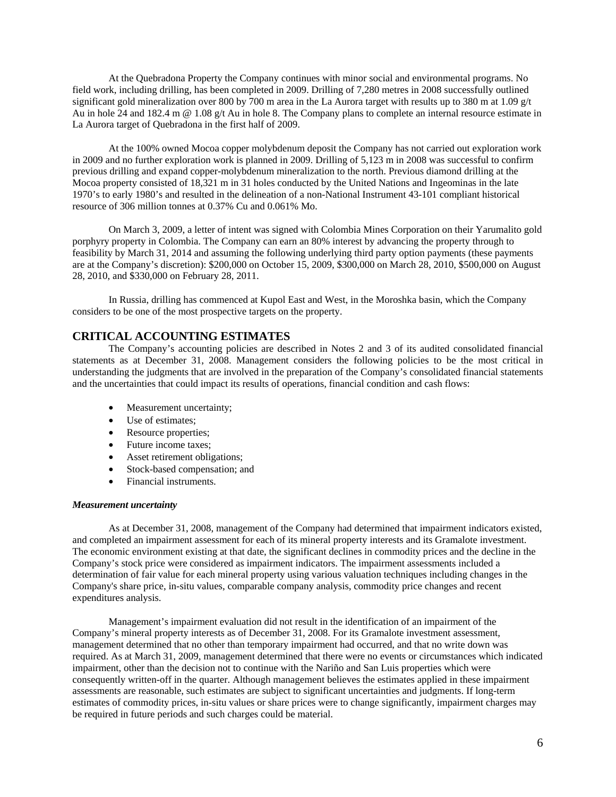At the Quebradona Property the Company continues with minor social and environmental programs. No field work, including drilling, has been completed in 2009. Drilling of 7,280 metres in 2008 successfully outlined significant gold mineralization over 800 by 700 m area in the La Aurora target with results up to 380 m at 1.09 g/t Au in hole 24 and 182.4 m @ 1.08 g/t Au in hole 8. The Company plans to complete an internal resource estimate in La Aurora target of Quebradona in the first half of 2009.

At the 100% owned Mocoa copper molybdenum deposit the Company has not carried out exploration work in 2009 and no further exploration work is planned in 2009. Drilling of 5,123 m in 2008 was successful to confirm previous drilling and expand copper-molybdenum mineralization to the north. Previous diamond drilling at the Mocoa property consisted of 18,321 m in 31 holes conducted by the United Nations and Ingeominas in the late 1970's to early 1980's and resulted in the delineation of a non-National Instrument 43-101 compliant historical resource of 306 million tonnes at 0.37% Cu and 0.061% Mo.

On March 3, 2009, a letter of intent was signed with Colombia Mines Corporation on their Yarumalito gold porphyry property in Colombia. The Company can earn an 80% interest by advancing the property through to feasibility by March 31, 2014 and assuming the following underlying third party option payments (these payments are at the Company's discretion): \$200,000 on October 15, 2009, \$300,000 on March 28, 2010, \$500,000 on August 28, 2010, and \$330,000 on February 28, 2011.

In Russia, drilling has commenced at Kupol East and West, in the Moroshka basin, which the Company considers to be one of the most prospective targets on the property.

# **CRITICAL ACCOUNTING ESTIMATES**

The Company's accounting policies are described in Notes 2 and 3 of its audited consolidated financial statements as at December 31, 2008. Management considers the following policies to be the most critical in understanding the judgments that are involved in the preparation of the Company's consolidated financial statements and the uncertainties that could impact its results of operations, financial condition and cash flows:

- Measurement uncertainty;
- Use of estimates;
- Resource properties;
- Future income taxes:
- Asset retirement obligations;
- Stock-based compensation; and
- Financial instruments.

#### *Measurement uncertainty*

As at December 31, 2008, management of the Company had determined that impairment indicators existed, and completed an impairment assessment for each of its mineral property interests and its Gramalote investment. The economic environment existing at that date, the significant declines in commodity prices and the decline in the Company's stock price were considered as impairment indicators. The impairment assessments included a determination of fair value for each mineral property using various valuation techniques including changes in the Company's share price, in-situ values, comparable company analysis, commodity price changes and recent expenditures analysis.

Management's impairment evaluation did not result in the identification of an impairment of the Company's mineral property interests as of December 31, 2008. For its Gramalote investment assessment, management determined that no other than temporary impairment had occurred, and that no write down was required. As at March 31, 2009, management determined that there were no events or circumstances which indicated impairment, other than the decision not to continue with the Nariño and San Luis properties which were consequently written-off in the quarter. Although management believes the estimates applied in these impairment assessments are reasonable, such estimates are subject to significant uncertainties and judgments. If long-term estimates of commodity prices, in-situ values or share prices were to change significantly, impairment charges may be required in future periods and such charges could be material.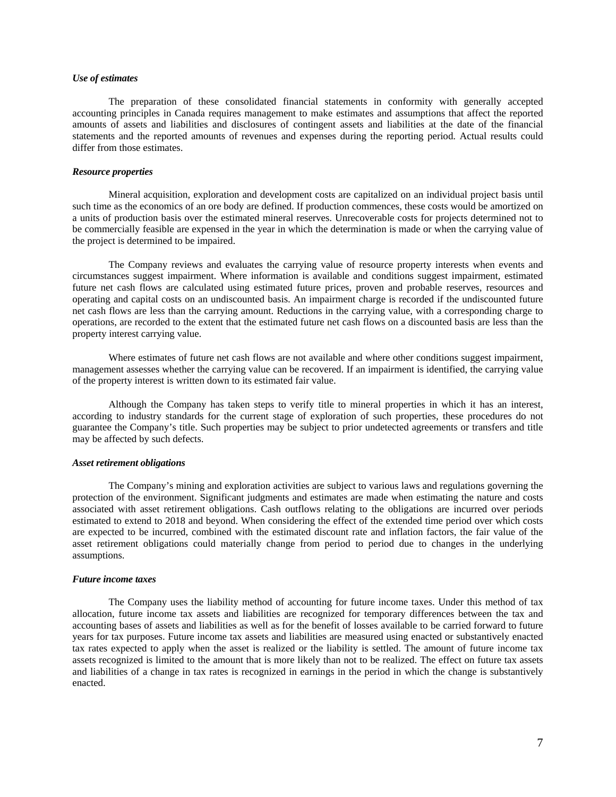## *Use of estimates*

The preparation of these consolidated financial statements in conformity with generally accepted accounting principles in Canada requires management to make estimates and assumptions that affect the reported amounts of assets and liabilities and disclosures of contingent assets and liabilities at the date of the financial statements and the reported amounts of revenues and expenses during the reporting period. Actual results could differ from those estimates.

### *Resource properties*

Mineral acquisition, exploration and development costs are capitalized on an individual project basis until such time as the economics of an ore body are defined. If production commences, these costs would be amortized on a units of production basis over the estimated mineral reserves. Unrecoverable costs for projects determined not to be commercially feasible are expensed in the year in which the determination is made or when the carrying value of the project is determined to be impaired.

The Company reviews and evaluates the carrying value of resource property interests when events and circumstances suggest impairment. Where information is available and conditions suggest impairment, estimated future net cash flows are calculated using estimated future prices, proven and probable reserves, resources and operating and capital costs on an undiscounted basis. An impairment charge is recorded if the undiscounted future net cash flows are less than the carrying amount. Reductions in the carrying value, with a corresponding charge to operations, are recorded to the extent that the estimated future net cash flows on a discounted basis are less than the property interest carrying value.

Where estimates of future net cash flows are not available and where other conditions suggest impairment, management assesses whether the carrying value can be recovered. If an impairment is identified, the carrying value of the property interest is written down to its estimated fair value.

Although the Company has taken steps to verify title to mineral properties in which it has an interest, according to industry standards for the current stage of exploration of such properties, these procedures do not guarantee the Company's title. Such properties may be subject to prior undetected agreements or transfers and title may be affected by such defects.

### *Asset retirement obligations*

The Company's mining and exploration activities are subject to various laws and regulations governing the protection of the environment. Significant judgments and estimates are made when estimating the nature and costs associated with asset retirement obligations. Cash outflows relating to the obligations are incurred over periods estimated to extend to 2018 and beyond. When considering the effect of the extended time period over which costs are expected to be incurred, combined with the estimated discount rate and inflation factors, the fair value of the asset retirement obligations could materially change from period to period due to changes in the underlying assumptions.

### *Future income taxes*

The Company uses the liability method of accounting for future income taxes. Under this method of tax allocation, future income tax assets and liabilities are recognized for temporary differences between the tax and accounting bases of assets and liabilities as well as for the benefit of losses available to be carried forward to future years for tax purposes. Future income tax assets and liabilities are measured using enacted or substantively enacted tax rates expected to apply when the asset is realized or the liability is settled. The amount of future income tax assets recognized is limited to the amount that is more likely than not to be realized. The effect on future tax assets and liabilities of a change in tax rates is recognized in earnings in the period in which the change is substantively enacted.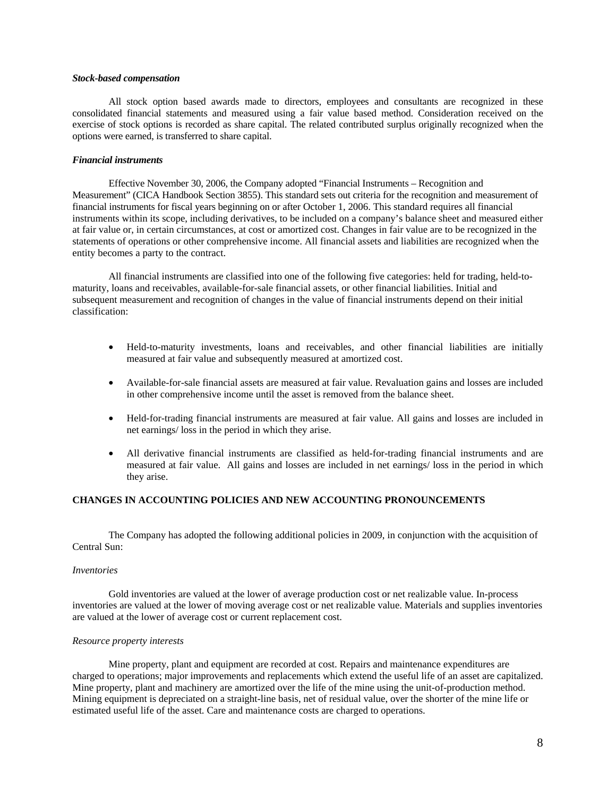### *Stock-based compensation*

All stock option based awards made to directors, employees and consultants are recognized in these consolidated financial statements and measured using a fair value based method. Consideration received on the exercise of stock options is recorded as share capital. The related contributed surplus originally recognized when the options were earned, is transferred to share capital.

## *Financial instruments*

Effective November 30, 2006, the Company adopted "Financial Instruments – Recognition and Measurement" (CICA Handbook Section 3855). This standard sets out criteria for the recognition and measurement of financial instruments for fiscal years beginning on or after October 1, 2006. This standard requires all financial instruments within its scope, including derivatives, to be included on a company's balance sheet and measured either at fair value or, in certain circumstances, at cost or amortized cost. Changes in fair value are to be recognized in the statements of operations or other comprehensive income. All financial assets and liabilities are recognized when the entity becomes a party to the contract.

All financial instruments are classified into one of the following five categories: held for trading, held-tomaturity, loans and receivables, available-for-sale financial assets, or other financial liabilities. Initial and subsequent measurement and recognition of changes in the value of financial instruments depend on their initial classification:

- Held-to-maturity investments, loans and receivables, and other financial liabilities are initially measured at fair value and subsequently measured at amortized cost.
- Available-for-sale financial assets are measured at fair value. Revaluation gains and losses are included in other comprehensive income until the asset is removed from the balance sheet.
- Held-for-trading financial instruments are measured at fair value. All gains and losses are included in net earnings/ loss in the period in which they arise.
- All derivative financial instruments are classified as held-for-trading financial instruments and are measured at fair value. All gains and losses are included in net earnings/ loss in the period in which they arise.

### **CHANGES IN ACCOUNTING POLICIES AND NEW ACCOUNTING PRONOUNCEMENTS**

The Company has adopted the following additional policies in 2009, in conjunction with the acquisition of Central Sun:

### *Inventories*

Gold inventories are valued at the lower of average production cost or net realizable value. In-process inventories are valued at the lower of moving average cost or net realizable value. Materials and supplies inventories are valued at the lower of average cost or current replacement cost.

### *Resource property interests*

Mine property, plant and equipment are recorded at cost. Repairs and maintenance expenditures are charged to operations; major improvements and replacements which extend the useful life of an asset are capitalized. Mine property, plant and machinery are amortized over the life of the mine using the unit-of-production method. Mining equipment is depreciated on a straight-line basis, net of residual value, over the shorter of the mine life or estimated useful life of the asset. Care and maintenance costs are charged to operations.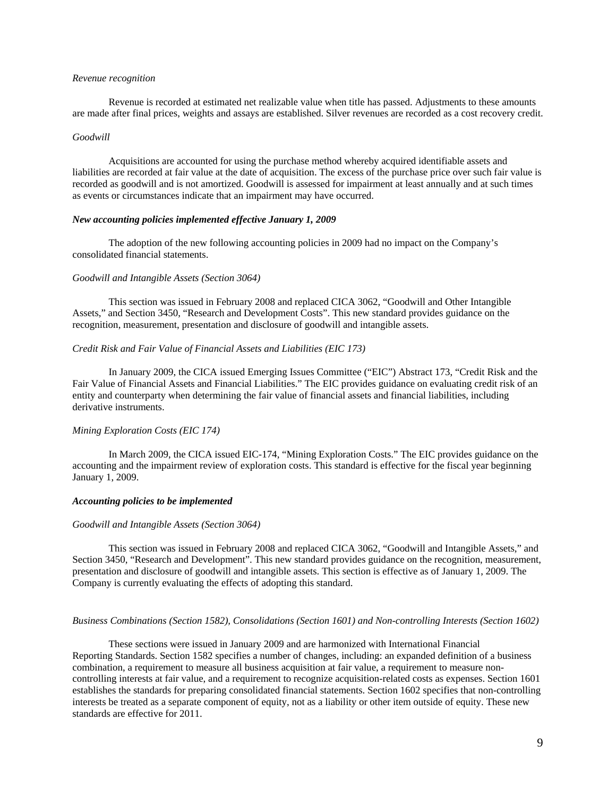### *Revenue recognition*

Revenue is recorded at estimated net realizable value when title has passed. Adjustments to these amounts are made after final prices, weights and assays are established. Silver revenues are recorded as a cost recovery credit.

#### *Goodwill*

Acquisitions are accounted for using the purchase method whereby acquired identifiable assets and liabilities are recorded at fair value at the date of acquisition. The excess of the purchase price over such fair value is recorded as goodwill and is not amortized. Goodwill is assessed for impairment at least annually and at such times as events or circumstances indicate that an impairment may have occurred.

### *New accounting policies implemented effective January 1, 2009*

The adoption of the new following accounting policies in 2009 had no impact on the Company's consolidated financial statements.

#### *Goodwill and Intangible Assets (Section 3064)*

This section was issued in February 2008 and replaced CICA 3062, "Goodwill and Other Intangible Assets," and Section 3450, "Research and Development Costs". This new standard provides guidance on the recognition, measurement, presentation and disclosure of goodwill and intangible assets.

## *Credit Risk and Fair Value of Financial Assets and Liabilities (EIC 173)*

In January 2009, the CICA issued Emerging Issues Committee ("EIC") Abstract 173, "Credit Risk and the Fair Value of Financial Assets and Financial Liabilities." The EIC provides guidance on evaluating credit risk of an entity and counterparty when determining the fair value of financial assets and financial liabilities, including derivative instruments.

## *Mining Exploration Costs (EIC 174)*

In March 2009, the CICA issued EIC-174, "Mining Exploration Costs." The EIC provides guidance on the accounting and the impairment review of exploration costs. This standard is effective for the fiscal year beginning January 1, 2009.

### *Accounting policies to be implemented*

#### *Goodwill and Intangible Assets (Section 3064)*

This section was issued in February 2008 and replaced CICA 3062, "Goodwill and Intangible Assets," and Section 3450, "Research and Development". This new standard provides guidance on the recognition, measurement, presentation and disclosure of goodwill and intangible assets. This section is effective as of January 1, 2009. The Company is currently evaluating the effects of adopting this standard.

### *Business Combinations (Section 1582), Consolidations (Section 1601) and Non-controlling Interests (Section 1602)*

These sections were issued in January 2009 and are harmonized with International Financial Reporting Standards. Section 1582 specifies a number of changes, including: an expanded definition of a business combination, a requirement to measure all business acquisition at fair value, a requirement to measure noncontrolling interests at fair value, and a requirement to recognize acquisition-related costs as expenses. Section 1601 establishes the standards for preparing consolidated financial statements. Section 1602 specifies that non-controlling interests be treated as a separate component of equity, not as a liability or other item outside of equity. These new standards are effective for 2011.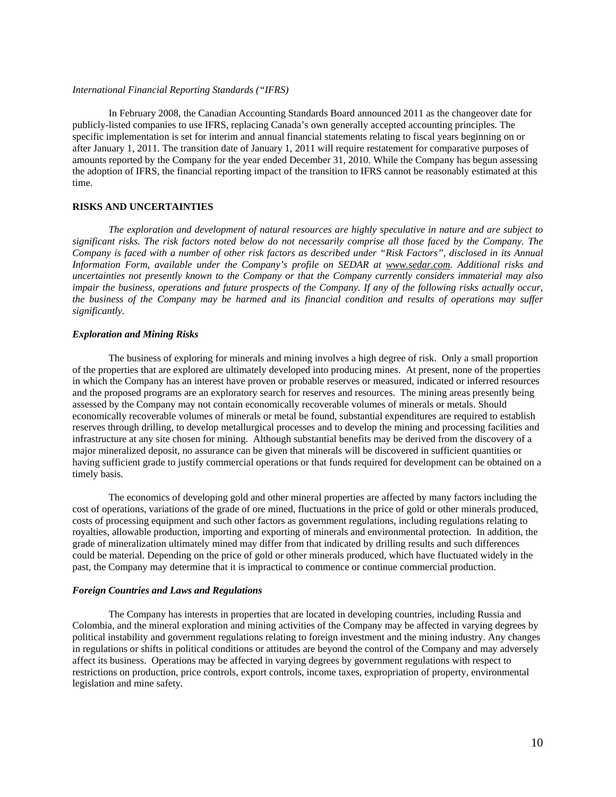### *International Financial Reporting Standards ("IFRS)*

In February 2008, the Canadian Accounting Standards Board announced 2011 as the changeover date for publicly-listed companies to use IFRS, replacing Canada's own generally accepted accounting principles. The specific implementation is set for interim and annual financial statements relating to fiscal years beginning on or after January 1, 2011. The transition date of January 1, 2011 will require restatement for comparative purposes of amounts reported by the Company for the year ended December 31, 2010. While the Company has begun assessing the adoption of IFRS, the financial reporting impact of the transition to IFRS cannot be reasonably estimated at this time.

### **RISKS AND UNCERTAINTIES**

*The exploration and development of natural resources are highly speculative in nature and are subject to significant risks. The risk factors noted below do not necessarily comprise all those faced by the Company. The Company is faced with a number of other risk factors as described under "Risk Factors", disclosed in its Annual Information Form, available under the Company's profile on SEDAR at www.sedar.com. Additional risks and uncertainties not presently known to the Company or that the Company currently considers immaterial may also*  impair the business, operations and future prospects of the Company. If any of the following risks actually occur, *the business of the Company may be harmed and its financial condition and results of operations may suffer significantly.* 

### *Exploration and Mining Risks*

The business of exploring for minerals and mining involves a high degree of risk. Only a small proportion of the properties that are explored are ultimately developed into producing mines. At present, none of the properties in which the Company has an interest have proven or probable reserves or measured, indicated or inferred resources and the proposed programs are an exploratory search for reserves and resources. The mining areas presently being assessed by the Company may not contain economically recoverable volumes of minerals or metals. Should economically recoverable volumes of minerals or metal be found, substantial expenditures are required to establish reserves through drilling, to develop metallurgical processes and to develop the mining and processing facilities and infrastructure at any site chosen for mining. Although substantial benefits may be derived from the discovery of a major mineralized deposit, no assurance can be given that minerals will be discovered in sufficient quantities or having sufficient grade to justify commercial operations or that funds required for development can be obtained on a timely basis.

The economics of developing gold and other mineral properties are affected by many factors including the cost of operations, variations of the grade of ore mined, fluctuations in the price of gold or other minerals produced, costs of processing equipment and such other factors as government regulations, including regulations relating to royalties, allowable production, importing and exporting of minerals and environmental protection. In addition, the grade of mineralization ultimately mined may differ from that indicated by drilling results and such differences could be material. Depending on the price of gold or other minerals produced, which have fluctuated widely in the past, the Company may determine that it is impractical to commence or continue commercial production.

#### *Foreign Countries and Laws and Regulations*

The Company has interests in properties that are located in developing countries, including Russia and Colombia, and the mineral exploration and mining activities of the Company may be affected in varying degrees by political instability and government regulations relating to foreign investment and the mining industry. Any changes in regulations or shifts in political conditions or attitudes are beyond the control of the Company and may adversely affect its business. Operations may be affected in varying degrees by government regulations with respect to restrictions on production, price controls, export controls, income taxes, expropriation of property, environmental legislation and mine safety.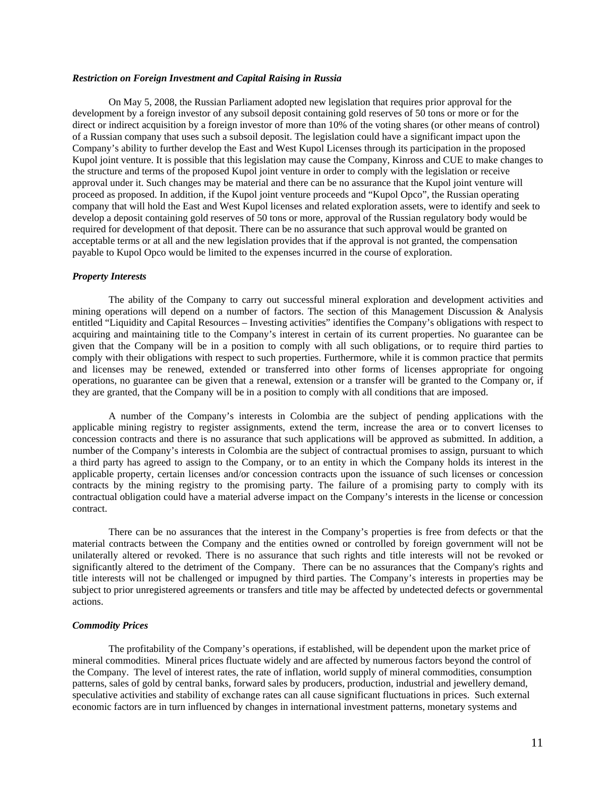## *Restriction on Foreign Investment and Capital Raising in Russia*

On May 5, 2008, the Russian Parliament adopted new legislation that requires prior approval for the development by a foreign investor of any subsoil deposit containing gold reserves of 50 tons or more or for the direct or indirect acquisition by a foreign investor of more than 10% of the voting shares (or other means of control) of a Russian company that uses such a subsoil deposit. The legislation could have a significant impact upon the Company's ability to further develop the East and West Kupol Licenses through its participation in the proposed Kupol joint venture. It is possible that this legislation may cause the Company, Kinross and CUE to make changes to the structure and terms of the proposed Kupol joint venture in order to comply with the legislation or receive approval under it. Such changes may be material and there can be no assurance that the Kupol joint venture will proceed as proposed. In addition, if the Kupol joint venture proceeds and "Kupol Opco", the Russian operating company that will hold the East and West Kupol licenses and related exploration assets, were to identify and seek to develop a deposit containing gold reserves of 50 tons or more, approval of the Russian regulatory body would be required for development of that deposit. There can be no assurance that such approval would be granted on acceptable terms or at all and the new legislation provides that if the approval is not granted, the compensation payable to Kupol Opco would be limited to the expenses incurred in the course of exploration.

#### *Property Interests*

The ability of the Company to carry out successful mineral exploration and development activities and mining operations will depend on a number of factors. The section of this Management Discussion & Analysis entitled "Liquidity and Capital Resources – Investing activities" identifies the Company's obligations with respect to acquiring and maintaining title to the Company's interest in certain of its current properties. No guarantee can be given that the Company will be in a position to comply with all such obligations, or to require third parties to comply with their obligations with respect to such properties. Furthermore, while it is common practice that permits and licenses may be renewed, extended or transferred into other forms of licenses appropriate for ongoing operations, no guarantee can be given that a renewal, extension or a transfer will be granted to the Company or, if they are granted, that the Company will be in a position to comply with all conditions that are imposed.

A number of the Company's interests in Colombia are the subject of pending applications with the applicable mining registry to register assignments, extend the term, increase the area or to convert licenses to concession contracts and there is no assurance that such applications will be approved as submitted. In addition, a number of the Company's interests in Colombia are the subject of contractual promises to assign, pursuant to which a third party has agreed to assign to the Company, or to an entity in which the Company holds its interest in the applicable property, certain licenses and/or concession contracts upon the issuance of such licenses or concession contracts by the mining registry to the promising party. The failure of a promising party to comply with its contractual obligation could have a material adverse impact on the Company's interests in the license or concession contract.

There can be no assurances that the interest in the Company's properties is free from defects or that the material contracts between the Company and the entities owned or controlled by foreign government will not be unilaterally altered or revoked. There is no assurance that such rights and title interests will not be revoked or significantly altered to the detriment of the Company. There can be no assurances that the Company's rights and title interests will not be challenged or impugned by third parties. The Company's interests in properties may be subject to prior unregistered agreements or transfers and title may be affected by undetected defects or governmental actions.

### *Commodity Prices*

The profitability of the Company's operations, if established, will be dependent upon the market price of mineral commodities. Mineral prices fluctuate widely and are affected by numerous factors beyond the control of the Company. The level of interest rates, the rate of inflation, world supply of mineral commodities, consumption patterns, sales of gold by central banks, forward sales by producers, production, industrial and jewellery demand, speculative activities and stability of exchange rates can all cause significant fluctuations in prices. Such external economic factors are in turn influenced by changes in international investment patterns, monetary systems and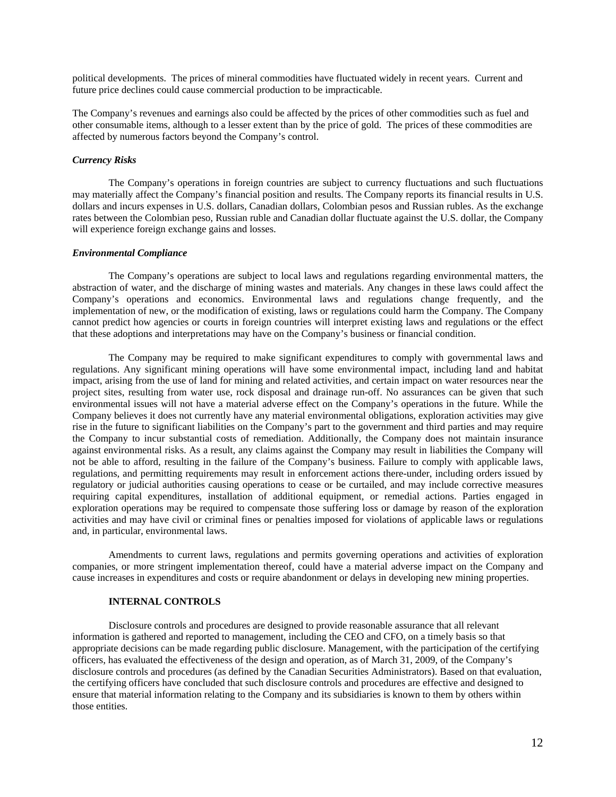political developments. The prices of mineral commodities have fluctuated widely in recent years. Current and future price declines could cause commercial production to be impracticable.

The Company's revenues and earnings also could be affected by the prices of other commodities such as fuel and other consumable items, although to a lesser extent than by the price of gold. The prices of these commodities are affected by numerous factors beyond the Company's control.

## *Currency Risks*

The Company's operations in foreign countries are subject to currency fluctuations and such fluctuations may materially affect the Company's financial position and results. The Company reports its financial results in U.S. dollars and incurs expenses in U.S. dollars, Canadian dollars, Colombian pesos and Russian rubles. As the exchange rates between the Colombian peso, Russian ruble and Canadian dollar fluctuate against the U.S. dollar, the Company will experience foreign exchange gains and losses.

#### *Environmental Compliance*

The Company's operations are subject to local laws and regulations regarding environmental matters, the abstraction of water, and the discharge of mining wastes and materials. Any changes in these laws could affect the Company's operations and economics. Environmental laws and regulations change frequently, and the implementation of new, or the modification of existing, laws or regulations could harm the Company. The Company cannot predict how agencies or courts in foreign countries will interpret existing laws and regulations or the effect that these adoptions and interpretations may have on the Company's business or financial condition.

The Company may be required to make significant expenditures to comply with governmental laws and regulations. Any significant mining operations will have some environmental impact, including land and habitat impact, arising from the use of land for mining and related activities, and certain impact on water resources near the project sites, resulting from water use, rock disposal and drainage run-off. No assurances can be given that such environmental issues will not have a material adverse effect on the Company's operations in the future. While the Company believes it does not currently have any material environmental obligations, exploration activities may give rise in the future to significant liabilities on the Company's part to the government and third parties and may require the Company to incur substantial costs of remediation. Additionally, the Company does not maintain insurance against environmental risks. As a result, any claims against the Company may result in liabilities the Company will not be able to afford, resulting in the failure of the Company's business. Failure to comply with applicable laws, regulations, and permitting requirements may result in enforcement actions there-under, including orders issued by regulatory or judicial authorities causing operations to cease or be curtailed, and may include corrective measures requiring capital expenditures, installation of additional equipment, or remedial actions. Parties engaged in exploration operations may be required to compensate those suffering loss or damage by reason of the exploration activities and may have civil or criminal fines or penalties imposed for violations of applicable laws or regulations and, in particular, environmental laws.

Amendments to current laws, regulations and permits governing operations and activities of exploration companies, or more stringent implementation thereof, could have a material adverse impact on the Company and cause increases in expenditures and costs or require abandonment or delays in developing new mining properties.

### **INTERNAL CONTROLS**

Disclosure controls and procedures are designed to provide reasonable assurance that all relevant information is gathered and reported to management, including the CEO and CFO, on a timely basis so that appropriate decisions can be made regarding public disclosure. Management, with the participation of the certifying officers, has evaluated the effectiveness of the design and operation, as of March 31, 2009, of the Company's disclosure controls and procedures (as defined by the Canadian Securities Administrators). Based on that evaluation, the certifying officers have concluded that such disclosure controls and procedures are effective and designed to ensure that material information relating to the Company and its subsidiaries is known to them by others within those entities.